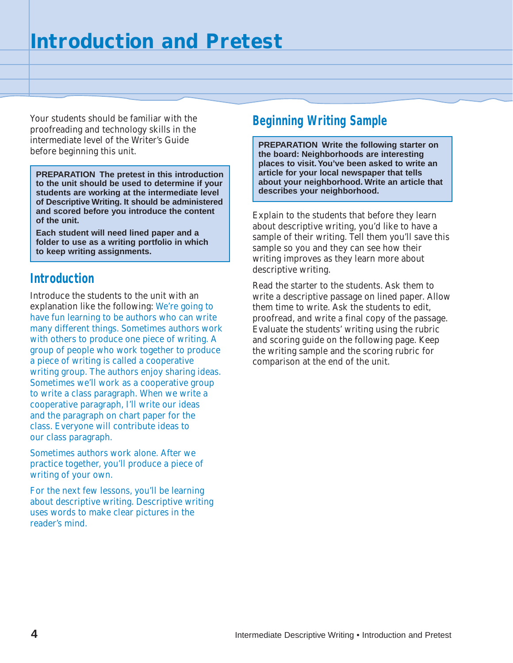Your students should be familiar with the proofreading and technology skills in the intermediate level of the Writer's Guide before beginning this unit.

**PREPARATION The pretest in this introduction to the unit should be used to determine if your students are working at the intermediate level of Descriptive Writing. It should be administered and scored before you introduce the content of the unit.**

**Each student will need lined paper and a folder to use as a writing portfolio in which to keep writing assignments.**

## **Introduction**

Introduce the students to the unit with an explanation like the following: We're going to have fun learning to be authors who can write many different things. Sometimes authors work with others to produce one piece of writing. A group of people who work together to produce a piece of writing is called a cooperative writing group. The authors enjoy sharing ideas. Sometimes we'll work as a cooperative group to write a class paragraph. When we write a cooperative paragraph, I'll write our ideas and the paragraph on chart paper for the class. Everyone will contribute ideas to our class paragraph.

Sometimes authors work alone. After we practice together, you'll produce a piece of writing of your own.

For the next few lessons, you'll be learning about descriptive writing. Descriptive writing uses words to make clear pictures in the reader's mind.

## **Beginning Writing Sample**

**PREPARATION Write the following starter on the board: Neighborhoods are interesting places to visit. You've been asked to write an article for your local newspaper that tells about your neighborhood. Write an article that describes your neighborhood.**

Explain to the students that before they learn about descriptive writing, you'd like to have a sample of their writing. Tell them you'll save this sample so you and they can see how their writing improves as they learn more about descriptive writing.

Read the starter to the students. Ask them to write a descriptive passage on lined paper. Allow them time to write. Ask the students to edit, proofread, and write a final copy of the passage. Evaluate the students' writing using the rubric and scoring guide on the following page. Keep the writing sample and the scoring rubric for comparison at the end of the unit.